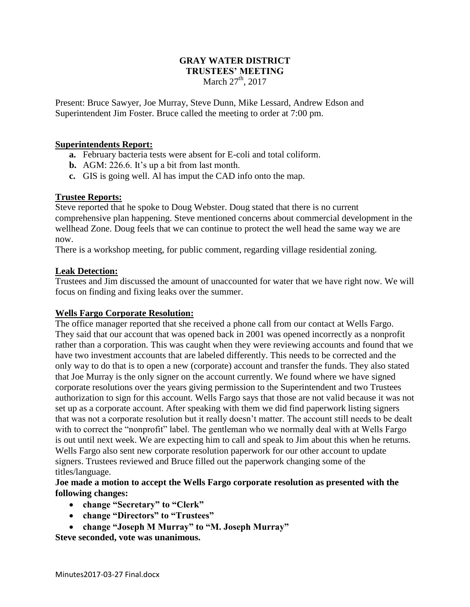#### **GRAY WATER DISTRICT TRUSTEES' MEETING** March 27<sup>th</sup>, 2017

Present: Bruce Sawyer, Joe Murray, Steve Dunn, Mike Lessard, Andrew Edson and Superintendent Jim Foster. Bruce called the meeting to order at 7:00 pm.

### **Superintendents Report:**

- **a.** February bacteria tests were absent for E-coli and total coliform.
- **b.** AGM: 226.6. It's up a bit from last month.
- **c.** GIS is going well. Al has imput the CAD info onto the map.

### **Trustee Reports:**

Steve reported that he spoke to Doug Webster. Doug stated that there is no current comprehensive plan happening. Steve mentioned concerns about commercial development in the wellhead Zone. Doug feels that we can continue to protect the well head the same way we are now.

There is a workshop meeting, for public comment, regarding village residential zoning.

#### **Leak Detection:**

Trustees and Jim discussed the amount of unaccounted for water that we have right now. We will focus on finding and fixing leaks over the summer.

### **Wells Fargo Corporate Resolution:**

The office manager reported that she received a phone call from our contact at Wells Fargo. They said that our account that was opened back in 2001 was opened incorrectly as a nonprofit rather than a corporation. This was caught when they were reviewing accounts and found that we have two investment accounts that are labeled differently. This needs to be corrected and the only way to do that is to open a new (corporate) account and transfer the funds. They also stated that Joe Murray is the only signer on the account currently. We found where we have signed corporate resolutions over the years giving permission to the Superintendent and two Trustees authorization to sign for this account. Wells Fargo says that those are not valid because it was not set up as a corporate account. After speaking with them we did find paperwork listing signers that was not a corporate resolution but it really doesn't matter. The account still needs to be dealt with to correct the "nonprofit" label. The gentleman who we normally deal with at Wells Fargo is out until next week. We are expecting him to call and speak to Jim about this when he returns. Wells Fargo also sent new corporate resolution paperwork for our other account to update signers. Trustees reviewed and Bruce filled out the paperwork changing some of the titles/language.

### **Joe made a motion to accept the Wells Fargo corporate resolution as presented with the following changes:**

- **change "Secretary" to "Clerk"**
- **change "Directors" to "Trustees"**
- **change "Joseph M Murray" to "M. Joseph Murray"**

**Steve seconded, vote was unanimous.**